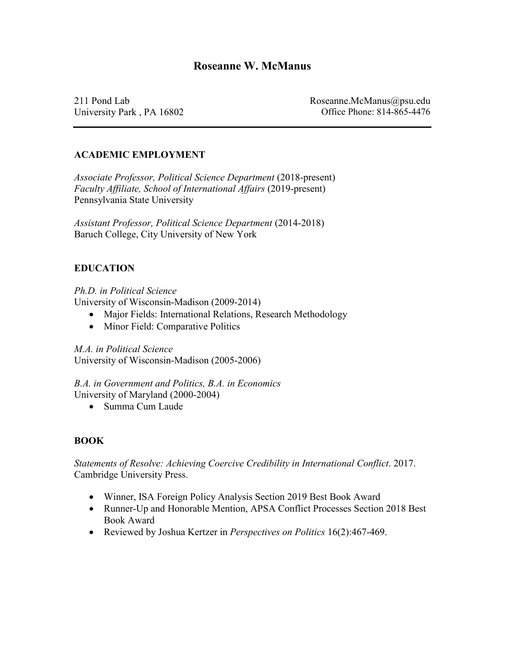211 Pond Lab University Park , PA 16802 Roseanne.McManus@psu.edu Office Phone: 814-865-4476

# **ACADEMIC EMPLOYMENT**

*Associate Professor, Political Science Department* (2018-present) *Faculty Affiliate, School of International Affairs* (2019-present) Pennsylvania State University

*Assistant Professor, Political Science Department* (2014-2018) Baruch College, City University of New York

## **EDUCATION**

*Ph.D. in Political Science* University of Wisconsin-Madison (2009-2014)

- Major Fields: International Relations, Research Methodology
- Minor Field: Comparative Politics

*M.A. in Political Science* University of Wisconsin-Madison (2005-2006)

*B.A. in Government and Politics, B.A. in Economics*  University of Maryland (2000-2004)

• Summa Cum Laude

## **BOOK**

*Statements of Resolve: Achieving Coercive Credibility in International Conflict*. 2017. Cambridge University Press.

- Winner, ISA Foreign Policy Analysis Section 2019 Best Book Award
- Runner-Up and Honorable Mention, APSA Conflict Processes Section 2018 Best Book Award
- Reviewed by Joshua Kertzer in *Perspectives on Politics* 16(2):467-469.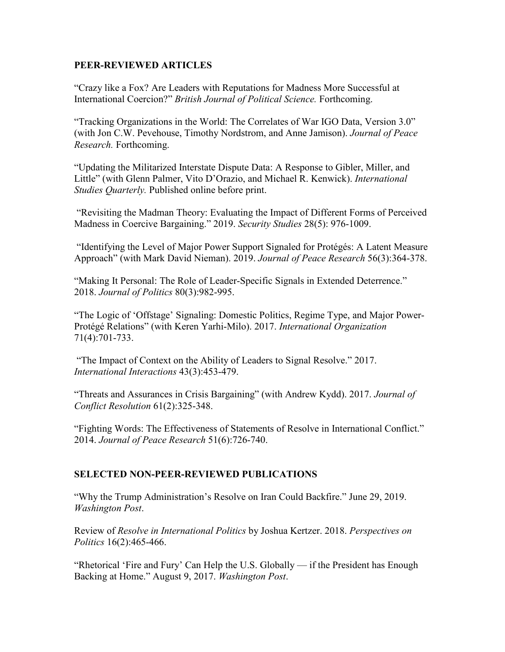#### **PEER-REVIEWED ARTICLES**

"Crazy like a Fox? Are Leaders with Reputations for Madness More Successful at International Coercion?" *British Journal of Political Science.* Forthcoming.

"Tracking Organizations in the World: The Correlates of War IGO Data, Version 3.0" (with Jon C.W. Pevehouse, Timothy Nordstrom, and Anne Jamison). *Journal of Peace Research.* Forthcoming.

"Updating the Militarized Interstate Dispute Data: A Response to Gibler, Miller, and Little" (with Glenn Palmer, Vito D'Orazio, and Michael R. Kenwick). *International Studies Quarterly.* Published online before print.

"Revisiting the Madman Theory: Evaluating the Impact of Different Forms of Perceived Madness in Coercive Bargaining." 2019. *Security Studies* 28(5): 976-1009.

"Identifying the Level of Major Power Support Signaled for Protégés: A Latent Measure Approach" (with Mark David Nieman). 2019. *Journal of Peace Research* 56(3):364-378.

"Making It Personal: The Role of Leader-Specific Signals in Extended Deterrence." 2018. *Journal of Politics* 80(3):982-995.

"The Logic of 'Offstage' Signaling: Domestic Politics, Regime Type, and Major Power-Protégé Relations" (with Keren Yarhi-Milo). 2017. *International Organization* 71(4):701-733.

"The Impact of Context on the Ability of Leaders to Signal Resolve." 2017. *International Interactions* 43(3):453-479.

"Threats and Assurances in Crisis Bargaining" (with Andrew Kydd). 2017. *Journal of Conflict Resolution* 61(2):325-348.

"Fighting Words: The Effectiveness of Statements of Resolve in International Conflict." 2014. *Journal of Peace Research* 51(6):726-740.

#### **SELECTED NON-PEER-REVIEWED PUBLICATIONS**

"Why the Trump Administration's Resolve on Iran Could Backfire." June 29, 2019. *Washington Post*.

Review of *Resolve in International Politics* by Joshua Kertzer. 2018. *Perspectives on Politics* 16(2):465-466.

"Rhetorical 'Fire and Fury' Can Help the U.S. Globally — if the President has Enough Backing at Home." August 9, 2017. *Washington Post*.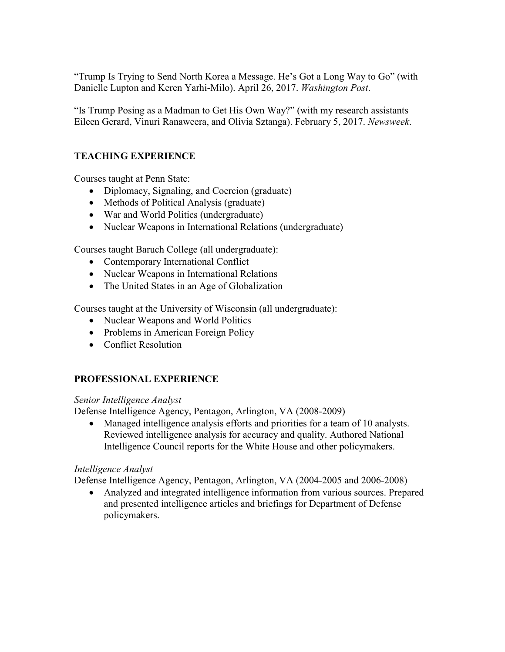"Trump Is Trying to Send North Korea a Message. He's Got a Long Way to Go" (with Danielle Lupton and Keren Yarhi-Milo). April 26, 2017. *Washington Post*.

"Is Trump Posing as a Madman to Get His Own Way?" (with my research assistants Eileen Gerard, Vinuri Ranaweera, and Olivia Sztanga). February 5, 2017. *Newsweek*.

# **TEACHING EXPERIENCE**

Courses taught at Penn State:

- Diplomacy, Signaling, and Coercion (graduate)
- Methods of Political Analysis (graduate)
- War and World Politics (undergraduate)
- Nuclear Weapons in International Relations (undergraduate)

Courses taught Baruch College (all undergraduate):

- Contemporary International Conflict
- Nuclear Weapons in International Relations
- The United States in an Age of Globalization

Courses taught at the University of Wisconsin (all undergraduate):

- Nuclear Weapons and World Politics
- Problems in American Foreign Policy
- Conflict Resolution

## **PROFESSIONAL EXPERIENCE**

## *Senior Intelligence Analyst*

Defense Intelligence Agency, Pentagon, Arlington, VA (2008-2009)

• Managed intelligence analysis efforts and priorities for a team of 10 analysts. Reviewed intelligence analysis for accuracy and quality. Authored National Intelligence Council reports for the White House and other policymakers.

## *Intelligence Analyst*

Defense Intelligence Agency, Pentagon, Arlington, VA (2004-2005 and 2006-2008)

• Analyzed and integrated intelligence information from various sources. Prepared and presented intelligence articles and briefings for Department of Defense policymakers.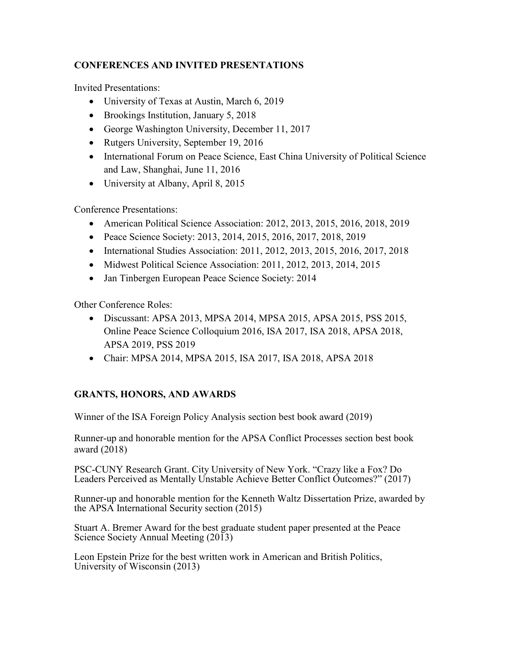# **CONFERENCES AND INVITED PRESENTATIONS**

Invited Presentations:

- University of Texas at Austin, March 6, 2019
- Brookings Institution, January 5, 2018
- George Washington University, December 11, 2017
- Rutgers University, September 19, 2016
- International Forum on Peace Science, East China University of Political Science and Law, Shanghai, June 11, 2016
- University at Albany, April 8, 2015

Conference Presentations:

- American Political Science Association: 2012, 2013, 2015, 2016, 2018, 2019
- Peace Science Society: 2013, 2014, 2015, 2016, 2017, 2018, 2019
- International Studies Association: 2011, 2012, 2013, 2015, 2016, 2017, 2018
- Midwest Political Science Association: 2011, 2012, 2013, 2014, 2015
- Jan Tinbergen European Peace Science Society: 2014

Other Conference Roles:

- Discussant: APSA 2013, MPSA 2014, MPSA 2015, APSA 2015, PSS 2015, Online Peace Science Colloquium 2016, ISA 2017, ISA 2018, APSA 2018, APSA 2019, PSS 2019
- Chair: MPSA 2014, MPSA 2015, ISA 2017, ISA 2018, APSA 2018

# **GRANTS, HONORS, AND AWARDS**

Winner of the ISA Foreign Policy Analysis section best book award (2019)

Runner-up and honorable mention for the APSA Conflict Processes section best book award (2018)

PSC-CUNY Research Grant. City University of New York. "Crazy like a Fox? Do Leaders Perceived as Mentally Unstable Achieve Better Conflict Outcomes?" (2017)

Runner-up and honorable mention for the Kenneth Waltz Dissertation Prize, awarded by the APSA International Security section (2015)

Stuart A. Bremer Award for the best graduate student paper presented at the Peace Science Society Annual Meeting (2013)

Leon Epstein Prize for the best written work in American and British Politics, University of Wisconsin (2013)